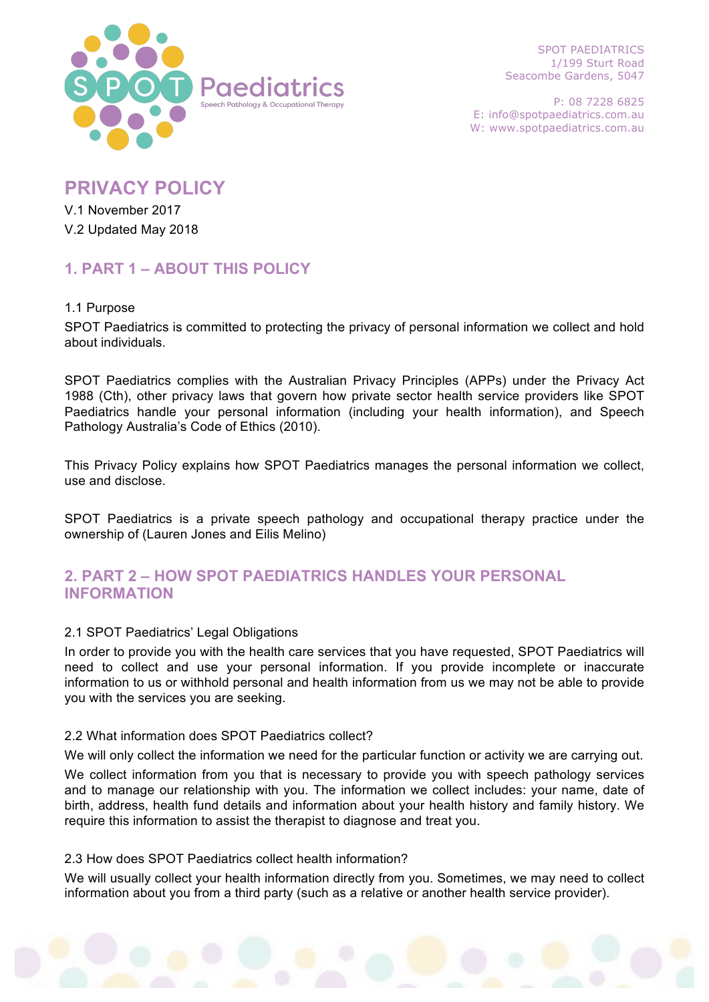

SPOT PAEDIATRICS 1/199 Sturt Road Seacombe Gardens, 5047

P: 08 7228 6825 E: info@spotpaediatrics.com.au W: www.spotpaediatrics.com.au

# **PRIVACY POLICY**

V.1 November 2017 V.2 Updated May 2018

# **1. PART 1 – ABOUT THIS POLICY**

## 1.1 Purpose

SPOT Paediatrics is committed to protecting the privacy of personal information we collect and hold about individuals.

SPOT Paediatrics complies with the Australian Privacy Principles (APPs) under the Privacy Act 1988 (Cth), other privacy laws that govern how private sector health service providers like SPOT Paediatrics handle your personal information (including your health information), and Speech Pathology Australia's Code of Ethics (2010).

This Privacy Policy explains how SPOT Paediatrics manages the personal information we collect, use and disclose.

SPOT Paediatrics is a private speech pathology and occupational therapy practice under the ownership of (Lauren Jones and Eilis Melino)

# **2. PART 2 – HOW SPOT PAEDIATRICS HANDLES YOUR PERSONAL INFORMATION**

## 2.1 SPOT Paediatrics' Legal Obligations

In order to provide you with the health care services that you have requested, SPOT Paediatrics will need to collect and use your personal information. If you provide incomplete or inaccurate information to us or withhold personal and health information from us we may not be able to provide you with the services you are seeking.

## 2.2 What information does SPOT Paediatrics collect?

We will only collect the information we need for the particular function or activity we are carrying out.

We collect information from you that is necessary to provide you with speech pathology services and to manage our relationship with you. The information we collect includes: your name, date of birth, address, health fund details and information about your health history and family history. We require this information to assist the therapist to diagnose and treat you.

## 2.3 How does SPOT Paediatrics collect health information?

We will usually collect your health information directly from you. Sometimes, we may need to collect information about you from a third party (such as a relative or another health service provider).

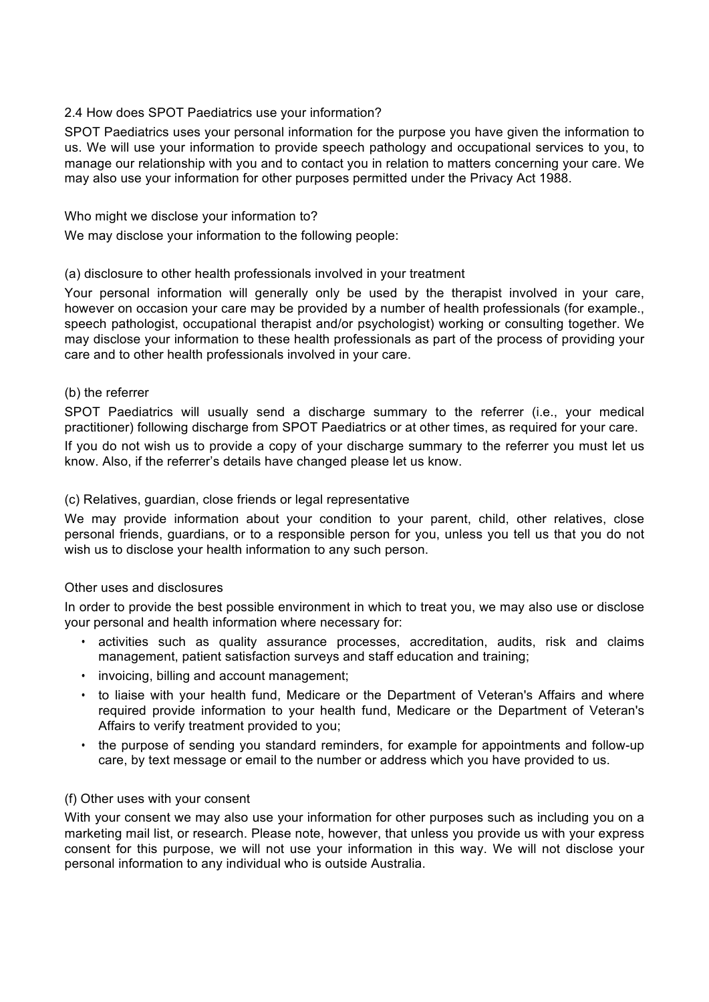## 2.4 How does SPOT Paediatrics use your information?

SPOT Paediatrics uses your personal information for the purpose you have given the information to us. We will use your information to provide speech pathology and occupational services to you, to manage our relationship with you and to contact you in relation to matters concerning your care. We may also use your information for other purposes permitted under the Privacy Act 1988.

## Who might we disclose your information to?

We may disclose your information to the following people:

## (a) disclosure to other health professionals involved in your treatment

Your personal information will generally only be used by the therapist involved in your care, however on occasion your care may be provided by a number of health professionals (for example., speech pathologist, occupational therapist and/or psychologist) working or consulting together. We may disclose your information to these health professionals as part of the process of providing your care and to other health professionals involved in your care.

## (b) the referrer

SPOT Paediatrics will usually send a discharge summary to the referrer (i.e., your medical practitioner) following discharge from SPOT Paediatrics or at other times, as required for your care.

If you do not wish us to provide a copy of your discharge summary to the referrer you must let us know. Also, if the referrer's details have changed please let us know.

## (c) Relatives, guardian, close friends or legal representative

We may provide information about your condition to your parent, child, other relatives, close personal friends, guardians, or to a responsible person for you, unless you tell us that you do not wish us to disclose your health information to any such person.

## Other uses and disclosures

In order to provide the best possible environment in which to treat you, we may also use or disclose your personal and health information where necessary for:

- activities such as quality assurance processes, accreditation, audits, risk and claims management, patient satisfaction surveys and staff education and training;
- invoicing, billing and account management;
- to liaise with your health fund, Medicare or the Department of Veteran's Affairs and where required provide information to your health fund, Medicare or the Department of Veteran's Affairs to verify treatment provided to you;
- the purpose of sending you standard reminders, for example for appointments and follow-up care, by text message or email to the number or address which you have provided to us.

## (f) Other uses with your consent

With your consent we may also use your information for other purposes such as including you on a marketing mail list, or research. Please note, however, that unless you provide us with your express consent for this purpose, we will not use your information in this way. We will not disclose your personal information to any individual who is outside Australia.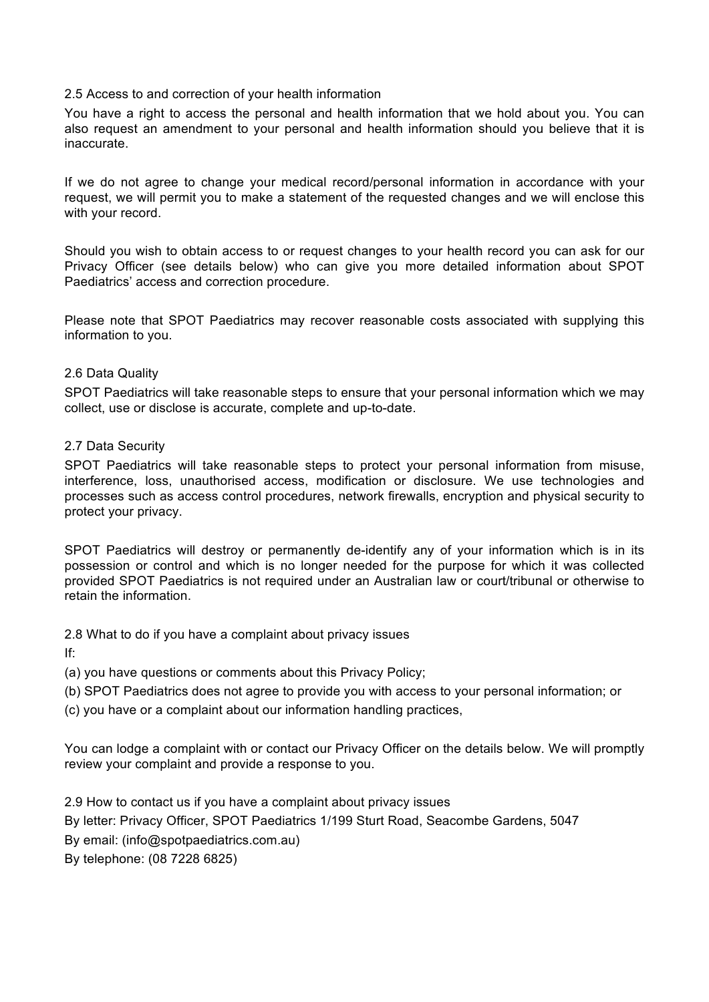#### 2.5 Access to and correction of your health information

You have a right to access the personal and health information that we hold about you. You can also request an amendment to your personal and health information should you believe that it is inaccurate.

If we do not agree to change your medical record/personal information in accordance with your request, we will permit you to make a statement of the requested changes and we will enclose this with your record.

Should you wish to obtain access to or request changes to your health record you can ask for our Privacy Officer (see details below) who can give you more detailed information about SPOT Paediatrics' access and correction procedure.

Please note that SPOT Paediatrics may recover reasonable costs associated with supplying this information to you.

#### 2.6 Data Quality

SPOT Paediatrics will take reasonable steps to ensure that your personal information which we may collect, use or disclose is accurate, complete and up-to-date.

#### 2.7 Data Security

SPOT Paediatrics will take reasonable steps to protect your personal information from misuse, interference, loss, unauthorised access, modification or disclosure. We use technologies and processes such as access control procedures, network firewalls, encryption and physical security to protect your privacy.

SPOT Paediatrics will destroy or permanently de-identify any of your information which is in its possession or control and which is no longer needed for the purpose for which it was collected provided SPOT Paediatrics is not required under an Australian law or court/tribunal or otherwise to retain the information.

2.8 What to do if you have a complaint about privacy issues

If:

(a) you have questions or comments about this Privacy Policy;

(b) SPOT Paediatrics does not agree to provide you with access to your personal information; or

(c) you have or a complaint about our information handling practices,

You can lodge a complaint with or contact our Privacy Officer on the details below. We will promptly review your complaint and provide a response to you.

2.9 How to contact us if you have a complaint about privacy issues By letter: Privacy Officer, SPOT Paediatrics 1/199 Sturt Road, Seacombe Gardens, 5047 By email: (info@spotpaediatrics.com.au) By telephone: (08 7228 6825)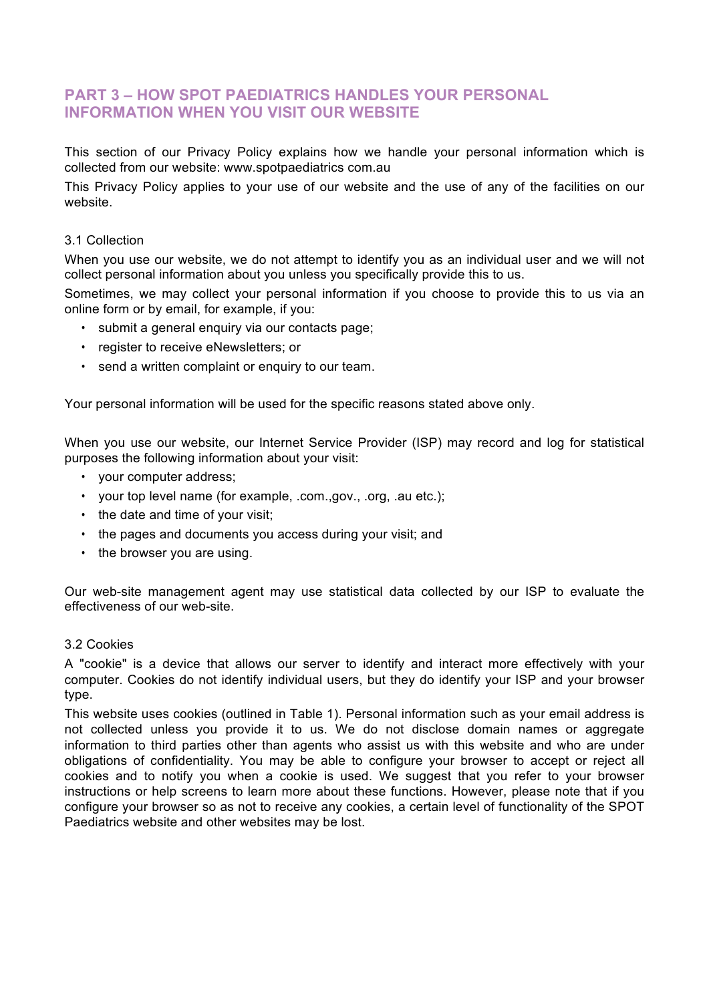## **PART 3 – HOW SPOT PAEDIATRICS HANDLES YOUR PERSONAL INFORMATION WHEN YOU VISIT OUR WEBSITE**

This section of our Privacy Policy explains how we handle your personal information which is collected from our website: www.spotpaediatrics com.au

This Privacy Policy applies to your use of our website and the use of any of the facilities on our website.

#### 3.1 Collection

When you use our website, we do not attempt to identify you as an individual user and we will not collect personal information about you unless you specifically provide this to us.

Sometimes, we may collect your personal information if you choose to provide this to us via an online form or by email, for example, if you:

- submit a general enquiry via our contacts page;
- register to receive eNewsletters; or
- send a written complaint or enquiry to our team.

Your personal information will be used for the specific reasons stated above only.

When you use our website, our Internet Service Provider (ISP) may record and log for statistical purposes the following information about your visit:

- your computer address;
- your top level name (for example, .com.,gov., .org, .au etc.);
- the date and time of your visit;
- the pages and documents you access during your visit; and
- the browser you are using.

Our web-site management agent may use statistical data collected by our ISP to evaluate the effectiveness of our web-site.

#### 3.2 Cookies

A "cookie" is a device that allows our server to identify and interact more effectively with your computer. Cookies do not identify individual users, but they do identify your ISP and your browser type.

This website uses cookies (outlined in Table 1). Personal information such as your email address is not collected unless you provide it to us. We do not disclose domain names or aggregate information to third parties other than agents who assist us with this website and who are under obligations of confidentiality. You may be able to configure your browser to accept or reject all cookies and to notify you when a cookie is used. We suggest that you refer to your browser instructions or help screens to learn more about these functions. However, please note that if you configure your browser so as not to receive any cookies, a certain level of functionality of the SPOT Paediatrics website and other websites may be lost.